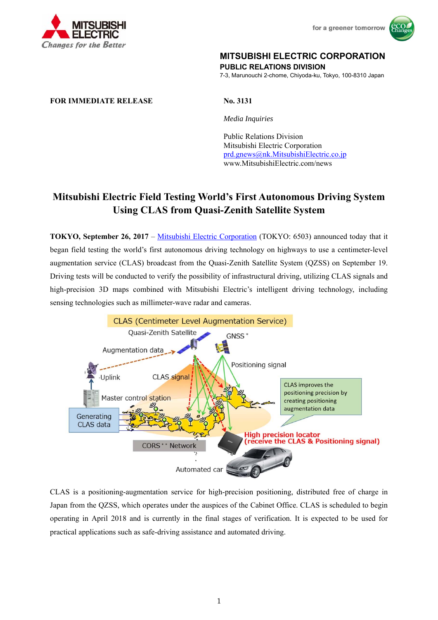



## **MITSUBISHI ELECTRIC CORPORATION**

**PUBLIC RELATIONS DIVISION** 

7-3, Marunouchi 2-chome, Chiyoda-ku, Tokyo, 100-8310 Japan

## **FOR IMMEDIATE RELEASE No. 3131**

 *Media Inquiries*

 Public Relations Division Mitsubishi Electric Corporation prd.gnews@nk.MitsubishiElectric.co.jp www.MitsubishiElectric.com/news

## **Mitsubishi Electric Field Testing World's First Autonomous Driving System Using CLAS from Quasi-Zenith Satellite System**

**TOKYO, September 26, 2017** – Mitsubishi Electric Corporation (TOKYO: 6503) announced today that it began field testing the world's first autonomous driving technology on highways to use a centimeter-level augmentation service (CLAS) broadcast from the Quasi-Zenith Satellite System (QZSS) on September 19. Driving tests will be conducted to verify the possibility of infrastructural driving, utilizing CLAS signals and high-precision 3D maps combined with Mitsubishi Electric's intelligent driving technology, including sensing technologies such as millimeter-wave radar and cameras.



CLAS is a positioning-augmentation service for high-precision positioning, distributed free of charge in Japan from the QZSS, which operates under the auspices of the Cabinet Office. CLAS is scheduled to begin operating in April 2018 and is currently in the final stages of verification. It is expected to be used for practical applications such as safe-driving assistance and automated driving.